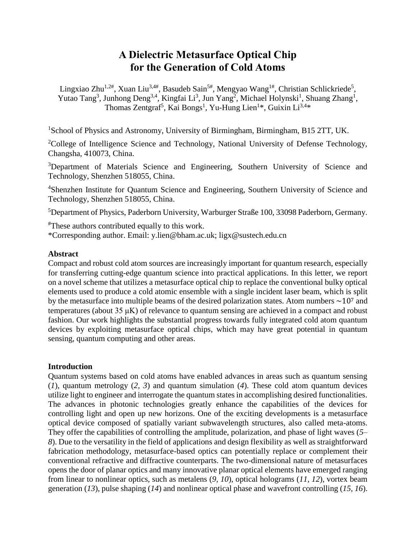# **A Dielectric Metasurface Optical Chip for the Generation of Cold Atoms**

Lingxiao Zhu<sup>1,2#</sup>, Xuan Liu<sup>3,4#</sup>, Basudeb Sain<sup>5#</sup>, Mengyao Wang<sup>1#</sup>, Christian Schlickriede<sup>5</sup>, Yutao Tang<sup>3</sup>, Junhong Deng<sup>3,4</sup>, Kingfai Li<sup>3</sup>, Jun Yang<sup>2</sup>, Michael Holynski<sup>1</sup>, Shuang Zhang<sup>1</sup>, Thomas Zentgraf<sup>5</sup>, Kai Bongs<sup>1</sup>, Yu-Hung Lien<sup>1\*</sup>, Guixin Li<sup>3,4\*</sup>

<sup>1</sup>School of Physics and Astronomy, University of Birmingham, Birmingham, B15 2TT, UK.

<sup>2</sup>College of Intelligence Science and Technology, National University of Defense Technology, Changsha, 410073, China.

<sup>3</sup>Department of Materials Science and Engineering, Southern University of Science and Technology, Shenzhen 518055, China.

<sup>4</sup>Shenzhen Institute for Quantum Science and Engineering, Southern University of Science and Technology, Shenzhen 518055, China.

<sup>5</sup>Department of Physics, Paderborn University, Warburger Straße 100, 33098 Paderborn, Germany.

#These authors contributed equally to this work.

\*Corresponding author. Email: y.lien@bham.ac.uk; ligx@sustech.edu.cn

#### **Abstract**

Compact and robust cold atom sources are increasingly important for quantum research, especially for transferring cutting-edge quantum science into practical applications. In this letter, we report on a novel scheme that utilizes a metasurface optical chip to replace the conventional bulky optical elements used to produce a cold atomic ensemble with a single incident laser beam, which is split by the metasurface into multiple beams of the desired polarization states. Atom numbers  $\sim$ 10<sup>7</sup> and temperatures (about 35 μK) of relevance to quantum sensing are achieved in a compact and robust fashion. Our work highlights the substantial progress towards fully integrated cold atom quantum devices by exploiting metasurface optical chips, which may have great potential in quantum sensing, quantum computing and other areas.

## **Introduction**

Quantum systems based on cold atoms have enabled advances in areas such as quantum sensing (*1*), quantum metrology (*2, 3*) and quantum simulation (*4*). These cold atom quantum devices utilize light to engineer and interrogate the quantum states in accomplishing desired functionalities. The advances in photonic technologies greatly enhance the capabilities of the devices for controlling light and open up new horizons. One of the exciting developments is a metasurface optical device composed of spatially variant subwavelength structures, also called meta-atoms. They offer the capabilities of controlling the amplitude, polarization, and phase of light waves (*5– 8*). Due to the versatility in the field of applications and design flexibility as well as straightforward fabrication methodology, metasurface-based optics can potentially replace or complement their conventional refractive and diffractive counterparts. The two-dimensional nature of metasurfaces opens the door of planar optics and many innovative planar optical elements have emerged ranging from linear to nonlinear optics, such as metalens (*9, 10*), optical holograms (*11, 12*), vortex beam generation (*13*), pulse shaping (*14*) and nonlinear optical phase and wavefront controlling (*15, 16*).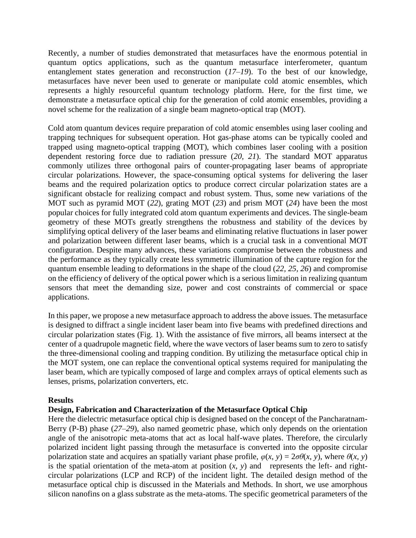Recently, a number of studies demonstrated that metasurfaces have the enormous potential in quantum optics applications, such as the quantum metasurface interferometer, quantum entanglement states generation and reconstruction (*17–19*). To the best of our knowledge, metasurfaces have never been used to generate or manipulate cold atomic ensembles, which represents a highly resourceful quantum technology platform. Here, for the first time, we demonstrate a metasurface optical chip for the generation of cold atomic ensembles, providing a novel scheme for the realization of a single beam magneto-optical trap (MOT).

Cold atom quantum devices require preparation of cold atomic ensembles using laser cooling and trapping techniques for subsequent operation. Hot gas-phase atoms can be typically cooled and trapped using magneto-optical trapping (MOT), which combines laser cooling with a position dependent restoring force due to radiation pressure (*20, 21*). The standard MOT apparatus commonly utilizes three orthogonal pairs of counter-propagating laser beams of appropriate circular polarizations. However, the space-consuming optical systems for delivering the laser beams and the required polarization optics to produce correct circular polarization states are a significant obstacle for realizing compact and robust system. Thus, some new variations of the MOT such as pyramid MOT (*22*), grating MOT (*23*) and prism MOT (*24*) have been the most popular choices for fully integrated cold atom quantum experiments and devices. The single-beam geometry of these MOTs greatly strengthens the robustness and stability of the devices by simplifying optical delivery of the laser beams and eliminating relative fluctuations in laser power and polarization between different laser beams, which is a crucial task in a conventional MOT configuration. Despite many advances, these variations compromise between the robustness and the performance as they typically create less symmetric illumination of the capture region for the quantum ensemble leading to deformations in the shape of the cloud (*22, 25, 26*) and compromise on the efficiency of delivery of the optical power which is a serious limitation in realizing quantum sensors that meet the demanding size, power and cost constraints of commercial or space applications.

In this paper, we propose a new metasurface approach to address the above issues. The metasurface is designed to diffract a single incident laser beam into five beams with predefined directions and circular polarization states (Fig. 1). With the assistance of five mirrors, all beams intersect at the center of a quadrupole magnetic field, where the wave vectors of laser beams sum to zero to satisfy the three-dimensional cooling and trapping condition. By utilizing the metasurface optical chip in the MOT system, one can replace the conventional optical systems required for manipulating the laser beam, which are typically composed of large and complex arrays of optical elements such as lenses, prisms, polarization converters, etc.

## **Results**

## **Design, Fabrication and Characterization of the Metasurface Optical Chip**

Here the dielectric metasurface optical chip is designed based on the concept of the Pancharatnam-Berry (P-B) phase (*27–29*), also named geometric phase, which only depends on the orientation angle of the anisotropic meta-atoms that act as local half-wave plates. Therefore, the circularly polarized incident light passing through the metasurface is converted into the opposite circular polarization state and acquires an spatially variant phase profile,  $\varphi(x, y) = 2\sigma\theta(x, y)$ , where  $\theta(x, y)$ is the spatial orientation of the meta-atom at position  $(x, y)$  and represents the left- and rightcircular polarizations (LCP and RCP) of the incident light. The detailed design method of the metasurface optical chip is discussed in the Materials and Methods. In short, we use amorphous silicon nanofins on a glass substrate as the meta-atoms. The specific geometrical parameters of the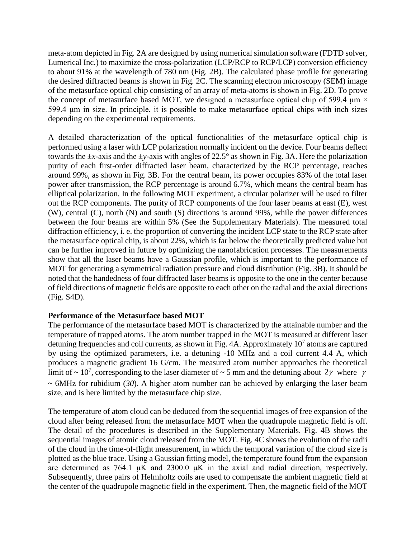meta-atom depicted in Fig. 2A are designed by using numerical simulation software (FDTD solver, Lumerical Inc.) to maximize the cross-polarization (LCP/RCP to RCP/LCP) conversion efficiency to about 91% at the wavelength of 780 nm (Fig. 2B). The calculated phase profile for generating the desired diffracted beams is shown in Fig. 2C. The scanning electron microscopy (SEM) image of the metasurface optical chip consisting of an array of meta-atoms is shown in Fig. 2D. To prove the concept of metasurface based MOT, we designed a metasurface optical chip of 599.4  $\mu$ m  $\times$ 599.4 μm in size. In principle, it is possible to make metasurface optical chips with inch sizes depending on the experimental requirements.

A detailed characterization of the optical functionalities of the metasurface optical chip is performed using a laser with LCP polarization normally incident on the device. Four beams deflect towards the  $\pm x$ -axis and the  $\pm y$ -axis with angles of 22.5° as shown in Fig. 3A. Here the polarization purity of each first-order diffracted laser beam, characterized by the RCP percentage, reaches around 99%, as shown in Fig. 3B. For the central beam, its power occupies 83% of the total laser power after transmission, the RCP percentage is around 6.7%, which means the central beam has elliptical polarization. In the following MOT experiment, a circular polarizer will be used to filter out the RCP components. The purity of RCP components of the four laser beams at east (E), west (W), central (C), north (N) and south (S) directions is around 99%, while the power differences between the four beams are within 5% (See the Supplementary Materials). The measured total diffraction efficiency, i. e. the proportion of converting the incident LCP state to the RCP state after the metasurface optical chip, is about 22%, which is far below the theoretically predicted value but can be further improved in future by optimizing the nanofabrication processes. The measurements show that all the laser beams have a Gaussian profile, which is important to the performance of MOT for generating a symmetrical radiation pressure and cloud distribution (Fig. 3B). It should be noted that the handedness of four diffracted laser beams is opposite to the one in the center because of field directions of magnetic fields are opposite to each other on the radial and the axial directions (Fig. S4D).

# **Performance of the Metasurface based MOT**

The performance of the metasurface based MOT is characterized by the attainable number and the temperature of trapped atoms. The atom number trapped in the MOT is measured at different laser detuning frequencies and coil currents, as shown in Fig. 4A. Approximately  $10<sup>7</sup>$  atoms are captured by using the optimized parameters, i.e. a detuning -10 MHz and a coil current 4.4 A, which produces a magnetic gradient 16 G/cm. The measured atom number approaches the theoretical limit of  $\sim 10^7$ , corresponding to the laser diameter of  $\sim 5$  mm and the detuning about  $2\gamma$  where  $\gamma$ ~ 6MHz for rubidium (*30*). A higher atom number can be achieved by enlarging the laser beam size, and is here limited by the metasurface chip size.

The temperature of atom cloud can be deduced from the sequential images of free expansion of the cloud after being released from the metasurface MOT when the quadrupole magnetic field is off. The detail of the procedures is described in the Supplementary Materials. Fig. 4B shows the sequential images of atomic cloud released from the MOT. Fig. 4C shows the evolution of the radii of the cloud in the time-of-flight measurement, in which the temporal variation of the cloud size is plotted as the blue trace. Using a Gaussian fitting model, the temperature found from the expansion are determined as 764.1  $\mu$ K and 2300.0  $\mu$ K in the axial and radial direction, respectively. Subsequently, three pairs of Helmholtz coils are used to compensate the ambient magnetic field at the center of the quadrupole magnetic field in the experiment. Then, the magnetic field of the MOT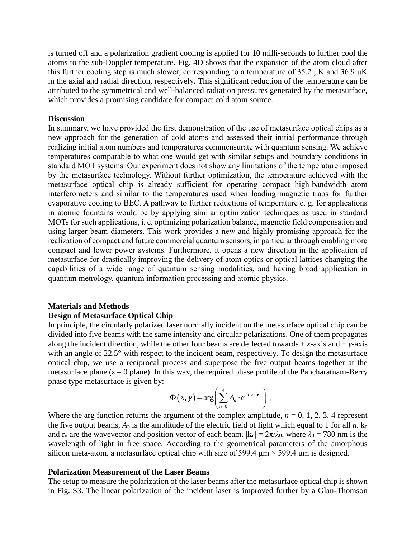is turned off and a polarization gradient cooling is applied for 10 milli-seconds to further cool the atoms to the sub-Doppler temperature. Fig. 4D shows that the expansion of the atom cloud after this further cooling step is much slower, corresponding to a temperature of 35.2  $\mu$ K and 36.9  $\mu$ K in the axial and radial direction, respectively. This significant reduction of the temperature can be attributed to the symmetrical and well-balanced radiation pressures generated by the metasurface, which provides a promising candidate for compact cold atom source.

#### **Discussion**

In summary, we have provided the first demonstration of the use of metasurface optical chips as a new approach for the generation of cold atoms and assessed their initial performance through realizing initial atom numbers and temperatures commensurate with quantum sensing. We achieve temperatures comparable to what one would get with similar setups and boundary conditions in standard MOT systems. Our experiment does not show any limitations of the temperature imposed by the metasurface technology. Without further optimization, the temperature achieved with the metasurface optical chip is already sufficient for operating compact high-bandwidth atom interferometers and similar to the temperatures used when loading magnetic traps for further evaporative cooling to BEC. A pathway to further reductions of temperature e. g. for applications in atomic fountains would be by applying similar optimization techniques as used in standard MOTs for such applications, i. e. optimizing polarization balance, magnetic field compensation and using larger beam diameters. This work provides a new and highly promising approach for the realization of compact and future commercial quantum sensors, in particular through enabling more compact and lower power systems. Furthermore, it opens a new direction in the application of metasurface for drastically improving the delivery of atom optics or optical lattices changing the capabilities of a wide range of quantum sensing modalities, and having broad application in quantum metrology, quantum information processing and atomic physics.

# **Materials and Methods**

## **Design of Metasurface Optical Chip**

In principle, the circularly polarized laser normally incident on the metasurface optical chip can be divided into five beams with the same intensity and circular polarizations. One of them propagates along the incident direction, while the other four beams are deflected towards  $\pm x$ -axis and  $\pm y$ -axis with an angle of 22.5° with respect to the incident beam, respectively. To design the metasurface optical chip, we use a reciprocal process and superpose the five output beams together at the metasurface plane  $(z = 0$  plane). In this way, the required phase profile of the Pancharatnam-Berry phase type metasurface is given by:

$$
\Phi(x, y) = \arg \left( \sum_{n=0}^{4} A_n \cdot e^{-i \cdot \mathbf{k}_n \cdot \mathbf{r}_n} \right).
$$

Where the arg function returns the argument of the complex amplitude,  $n = 0, 1, 2, 3, 4$  represent the five output beams,  $A_n$  is the amplitude of the electric field of light which equal to 1 for all  $n$ .  $k_n$ and  $r_n$  are the wavevector and position vector of each beam.  $|\mathbf{k}_n| = 2\pi/\lambda_0$ , where  $\lambda_0 = 780$  nm is the wavelength of light in free space. According to the geometrical parameters of the amorphous silicon meta-atom, a metasurface optical chip with size of 599.4  $\mu$ m  $\times$  599.4  $\mu$ m is designed.

#### **Polarization Measurement of the Laser Beams**

The setup to measure the polarization of the laser beams after the metasurface optical chip is shown in Fig. S3. The linear polarization of the incident laser is improved further by a Glan-Thomson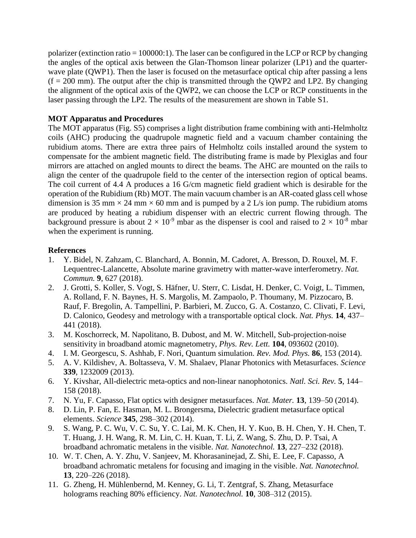polarizer (extinction ratio =  $100000:1$ ). The laser can be configured in the LCP or RCP by changing the angles of the optical axis between the Glan-Thomson linear polarizer (LP1) and the quarterwave plate (QWP1). Then the laser is focused on the metasurface optical chip after passing a lens  $(f = 200 \text{ mm})$ . The output after the chip is transmitted through the QWP2 and LP2. By changing the alignment of the optical axis of the QWP2, we can choose the LCP or RCP constituents in the laser passing through the LP2. The results of the measurement are shown in Table S1.

# **MOT Apparatus and Procedures**

The MOT apparatus (Fig. S5) comprises a light distribution frame combining with anti-Helmholtz coils (AHC) producing the quadrupole magnetic field and a vacuum chamber containing the rubidium atoms. There are extra three pairs of Helmholtz coils installed around the system to compensate for the ambient magnetic field. The distributing frame is made by Plexiglas and four mirrors are attached on angled mounts to direct the beams. The AHC are mounted on the rails to align the center of the quadrupole field to the center of the intersection region of optical beams. The coil current of 4.4 A produces a 16 G/cm magnetic field gradient which is desirable for the operation of the Rubidium (Rb) MOT. The main vacuum chamber is an AR-coated glass cell whose dimension is 35 mm  $\times$  24 mm  $\times$  60 mm and is pumped by a 2 L/s ion pump. The rubidium atoms are produced by heating a rubidium dispenser with an electric current flowing through. The background pressure is about  $2 \times 10^{-9}$  mbar as the dispenser is cool and raised to  $2 \times 10^{-8}$  mbar when the experiment is running.

## **References**

- 1. Y. Bidel, N. Zahzam, C. Blanchard, A. Bonnin, M. Cadoret, A. Bresson, D. Rouxel, M. F. Lequentrec-Lalancette, Absolute marine gravimetry with matter-wave interferometry. *Nat. Commun.* **9**, 627 (2018).
- 2. J. Grotti, S. Koller, S. Vogt, S. Häfner, U. Sterr, C. Lisdat, H. Denker, C. Voigt, L. Timmen, A. Rolland, F. N. Baynes, H. S. Margolis, M. Zampaolo, P. Thoumany, M. Pizzocaro, B. Rauf, F. Bregolin, A. Tampellini, P. Barbieri, M. Zucco, G. A. Costanzo, C. Clivati, F. Levi, D. Calonico, Geodesy and metrology with a transportable optical clock. *Nat. Phys.* **14**, 437– 441 (2018).
- 3. M. Koschorreck, M. Napolitano, B. Dubost, and M. W. Mitchell, Sub-projection-noise sensitivity in broadband atomic magnetometry, *Phys. Rev. Lett.* **104**, 093602 (2010).
- 4. I. M. Georgescu, S. Ashhab, F. Nori, Quantum simulation. *Rev. Mod. Phys.* **86**, 153 (2014).
- 5. A. V. Kildishev, A. Boltasseva, V. M. Shalaev, Planar Photonics with Metasurfaces. *Science*  **339**, 1232009 (2013).
- 6. Y. Kivshar, All-dielectric meta-optics and non-linear nanophotonics. *Natl. Sci. Rev.* **5**, 144– 158 (2018).
- 7. N. Yu, F. Capasso, Flat optics with designer metasurfaces. *Nat. Mater.* **13**, 139–50 (2014).
- 8. D. Lin, P. Fan, E. Hasman, M. L. Brongersma, Dielectric gradient metasurface optical elements. *Science* **345**, 298–302 (2014).
- 9. S. Wang, P. C. Wu, V. C. Su, Y. C. Lai, M. K. Chen, H. Y. Kuo, B. H. Chen, Y. H. Chen, T. T. Huang, J. H. Wang, R. M. Lin, C. H. Kuan, T. Li, Z. Wang, S. Zhu, D. P. Tsai, A broadband achromatic metalens in the visible. *Nat. Nanotechnol.* **13**, 227–232 (2018).
- 10. W. T. Chen, A. Y. Zhu, V. Sanjeev, M. Khorasaninejad, Z. Shi, E. Lee, F. Capasso, A broadband achromatic metalens for focusing and imaging in the visible. *Nat. Nanotechnol.* **13**, 220–226 (2018).
- 11. G. Zheng, H. Mühlenbernd, M. Kenney, G. Li, T. Zentgraf, S. Zhang, Metasurface holograms reaching 80% efficiency. *Nat. Nanotechnol.* **10**, 308–312 (2015).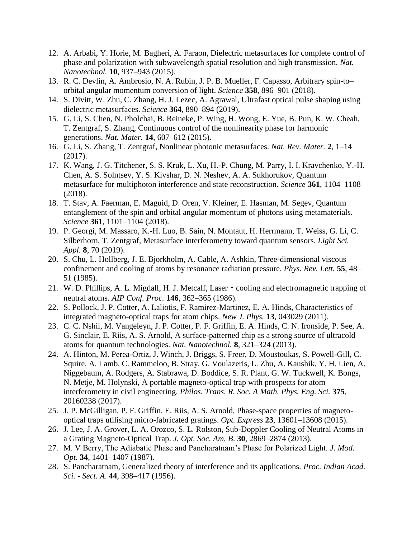- 12. A. Arbabi, Y. Horie, M. Bagheri, A. Faraon, Dielectric metasurfaces for complete control of phase and polarization with subwavelength spatial resolution and high transmission. *Nat. Nanotechnol.* **10**, 937–943 (2015).
- 13. R. C. Devlin, A. Ambrosio, N. A. Rubin, J. P. B. Mueller, F. Capasso, Arbitrary spin-to– orbital angular momentum conversion of light. *Science* **358**, 896–901 (2018).
- 14. S. Divitt, W. Zhu, C. Zhang, H. J. Lezec, A. Agrawal, Ultrafast optical pulse shaping using dielectric metasurfaces. *Science* **364**, 890–894 (2019).
- 15. G. Li, S. Chen, N. Pholchai, B. Reineke, P. Wing, H. Wong, E. Yue, B. Pun, K. W. Cheah, T. Zentgraf, S. Zhang, Continuous control of the nonlinearity phase for harmonic generations. *Nat. Mater.* **14**, 607–612 (2015).
- 16. G. Li, S. Zhang, T. Zentgraf, Nonlinear photonic metasurfaces. *Nat. Rev. Mater.* **2**, 1–14 (2017).
- 17. K. Wang, J. G. Titchener, S. S. Kruk, L. Xu, H.-P. Chung, M. Parry, I. I. Kravchenko, Y.-H. Chen, A. S. Solntsev, Y. S. Kivshar, D. N. Neshev, A. A. Sukhorukov, Quantum metasurface for multiphoton interference and state reconstruction. *Science* **361**, 1104–1108 (2018).
- 18. T. Stav, A. Faerman, E. Maguid, D. Oren, V. Kleiner, E. Hasman, M. Segev, Quantum entanglement of the spin and orbital angular momentum of photons using metamaterials. *Science* **361**, 1101–1104 (2018).
- 19. P. Georgi, M. Massaro, K.-H. Luo, B. Sain, N. Montaut, H. Herrmann, T. Weiss, G. Li, C. Silberhorn, T. Zentgraf, Metasurface interferometry toward quantum sensors. *Light Sci. Appl.* **8**, 70 (2019).
- 20. S. Chu, L. Hollberg, J. E. Bjorkholm, A. Cable, A. Ashkin, Three-dimensional viscous confinement and cooling of atoms by resonance radiation pressure. *Phys. Rev. Lett.* **55**, 48– 51 (1985).
- 21. W. D. Phillips, A. L. Migdall, H. J. Metcalf, Laser cooling and electromagnetic trapping of neutral atoms. *AIP Conf. Proc.* **146**, 362–365 (1986).
- 22. S. Pollock, J. P. Cotter, A. Laliotis, F. Ramirez-Martinez, E. A. Hinds, Characteristics of integrated magneto-optical traps for atom chips. *New J. Phys.* **13**, 043029 (2011).
- 23. C. C. Nshii, M. Vangeleyn, J. P. Cotter, P. F. Griffin, E. A. Hinds, C. N. Ironside, P. See, A. G. Sinclair, E. Riis, A. S. Arnold, A surface-patterned chip as a strong source of ultracold atoms for quantum technologies. *Nat. Nanotechnol.* **8**, 321–324 (2013).
- 24. A. Hinton, M. Perea-Ortiz, J. Winch, J. Briggs, S. Freer, D. Moustoukas, S. Powell-Gill, C. Squire, A. Lamb, C. Rammeloo, B. Stray, G. Voulazeris, L. Zhu, A. Kaushik, Y. H. Lien, A. Niggebaum, A. Rodgers, A. Stabrawa, D. Boddice, S. R. Plant, G. W. Tuckwell, K. Bongs, N. Metje, M. Holynski, A portable magneto-optical trap with prospects for atom interferometry in civil engineering. *Philos. Trans. R. Soc. A Math. Phys. Eng. Sci.* **375**, 20160238 (2017).
- 25. J. P. McGilligan, P. F. Griffin, E. Riis, A. S. Arnold, Phase-space properties of magnetooptical traps utilising micro-fabricated gratings. *Opt. Express* **23**, 13601–13608 (2015).
- 26. J. Lee, J. A. Grover, L. A. Orozco, S. L. Rolston, Sub-Doppler Cooling of Neutral Atoms in a Grating Magneto-Optical Trap. *J. Opt. Soc. Am. B*. **30**, 2869–2874 (2013).
- 27. M. V Berry, The Adiabatic Phase and Pancharatnam's Phase for Polarized Light. *J. Mod. Opt.* **34**, 1401–1407 (1987).
- 28. S. Pancharatnam, Generalized theory of interference and its applications. *Proc. Indian Acad. Sci. - Sect. A*. **44**, 398–417 (1956).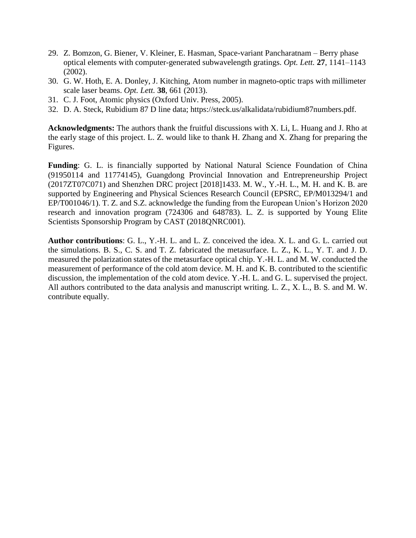- 29. Z. Bomzon, G. Biener, V. Kleiner, E. Hasman, Space-variant Pancharatnam Berry phase optical elements with computer-generated subwavelength gratings. *Opt. Lett.* **27**, 1141–1143 (2002).
- 30. G. W. Hoth, E. A. Donley, J. Kitching, Atom number in magneto-optic traps with millimeter scale laser beams. *Opt. Lett.* **38**, 661 (2013).
- 31. C. J. Foot, Atomic physics (Oxford Univ. Press, 2005).
- 32. D. A. Steck, Rubidium 87 D line data; https://steck.us/alkalidata/rubidium87numbers.pdf.

**Acknowledgments:** The authors thank the fruitful discussions with X. Li, L. Huang and J. Rho at the early stage of this project. L. Z. would like to thank H. Zhang and X. Zhang for preparing the Figures.

**Funding**: G. L. is financially supported by National Natural Science Foundation of China (91950114 and 11774145), Guangdong Provincial Innovation and Entrepreneurship Project (2017ZT07C071) and Shenzhen DRC project [2018]1433. M. W., Y.-H. L., M. H. and K. B. are supported by Engineering and Physical Sciences Research Council (EPSRC, EP/M013294/1 and EP/T001046/1). T. Z. and S.Z. acknowledge the funding from the European Union's Horizon 2020 research and innovation program (724306 and 648783). L. Z. is supported by Young Elite Scientists Sponsorship Program by CAST (2018QNRC001).

**Author contributions**: G. L., Y.-H. L. and L. Z. conceived the idea. X. L. and G. L. carried out the simulations. B. S., C. S. and T. Z. fabricated the metasurface. L. Z., K. L., Y. T. and J. D. measured the polarization states of the metasurface optical chip. Y.-H. L. and M. W. conducted the measurement of performance of the cold atom device. M. H. and K. B. contributed to the scientific discussion, the implementation of the cold atom device. Y.-H. L. and G. L. supervised the project. All authors contributed to the data analysis and manuscript writing. L. Z., X. L., B. S. and M. W. contribute equally.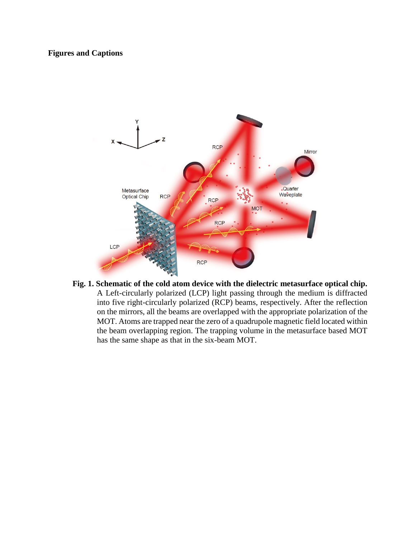# **Figures and Captions**



**Fig. 1. Schematic of the cold atom device with the dielectric metasurface optical chip.** A Left-circularly polarized (LCP) light passing through the medium is diffracted into five right-circularly polarized (RCP) beams, respectively. After the reflection on the mirrors, all the beams are overlapped with the appropriate polarization of the MOT. Atoms are trapped near the zero of a quadrupole magnetic field located within the beam overlapping region. The trapping volume in the metasurface based MOT has the same shape as that in the six-beam MOT.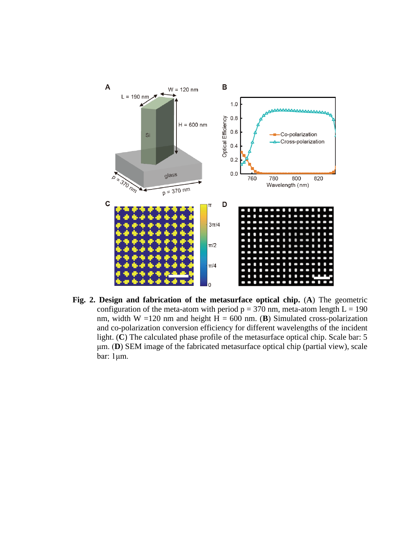

**Fig. 2. Design and fabrication of the metasurface optical chip.** (**A**) The geometric configuration of the meta-atom with period  $p = 370$  nm, meta-atom length  $L = 190$ nm, width W =120 nm and height  $H = 600$  nm. (**B**) Simulated cross-polarization and co-polarization conversion efficiency for different wavelengths of the incident light. (**C**) The calculated phase profile of the metasurface optical chip. Scale bar: 5 μm. (**D**) SEM image of the fabricated metasurface optical chip (partial view), scale bar: 1μm.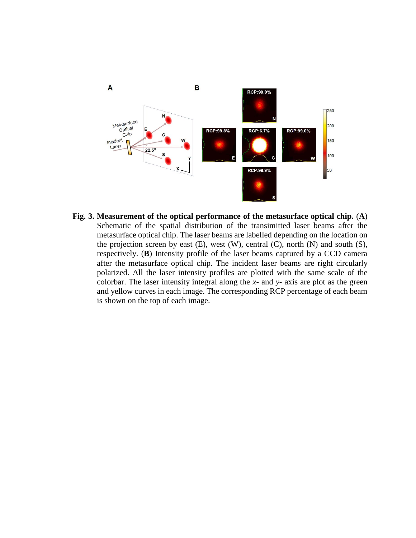

**Fig. 3. Measurement of the optical performance of the metasurface optical chip.** (**A**) Schematic of the spatial distribution of the transimitted laser beams after the metasurface optical chip. The laser beams are labelled depending on the location on the projection screen by east  $(E)$ , west  $(W)$ , central  $(C)$ , north  $(N)$  and south  $(S)$ , respectively. (**B**) Intensity profile of the laser beams captured by a CCD camera after the metasurface optical chip. The incident laser beams are right circularly polarized. All the laser intensity profiles are plotted with the same scale of the colorbar. The laser intensity integral along the *x*- and *y*- axis are plot as the green and yellow curves in each image. The corresponding RCP percentage of each beam is shown on the top of each image.